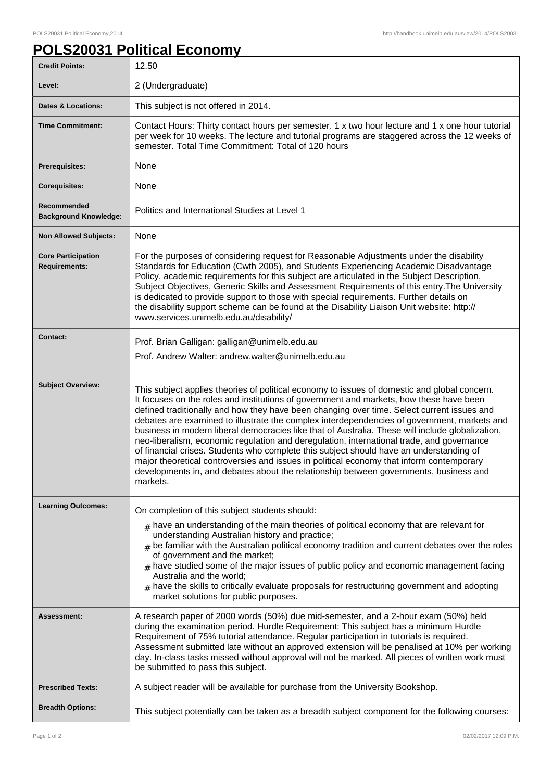## **POLS20031 Political Economy**

| <b>Credit Points:</b>                             | 12.50                                                                                                                                                                                                                                                                                                                                                                                                                                                                                                                                                                                                                                                                                                                                                                                                                                                                             |
|---------------------------------------------------|-----------------------------------------------------------------------------------------------------------------------------------------------------------------------------------------------------------------------------------------------------------------------------------------------------------------------------------------------------------------------------------------------------------------------------------------------------------------------------------------------------------------------------------------------------------------------------------------------------------------------------------------------------------------------------------------------------------------------------------------------------------------------------------------------------------------------------------------------------------------------------------|
| Level:                                            | 2 (Undergraduate)                                                                                                                                                                                                                                                                                                                                                                                                                                                                                                                                                                                                                                                                                                                                                                                                                                                                 |
| <b>Dates &amp; Locations:</b>                     | This subject is not offered in 2014.                                                                                                                                                                                                                                                                                                                                                                                                                                                                                                                                                                                                                                                                                                                                                                                                                                              |
| <b>Time Commitment:</b>                           | Contact Hours: Thirty contact hours per semester. 1 x two hour lecture and 1 x one hour tutorial<br>per week for 10 weeks. The lecture and tutorial programs are staggered across the 12 weeks of<br>semester. Total Time Commitment: Total of 120 hours                                                                                                                                                                                                                                                                                                                                                                                                                                                                                                                                                                                                                          |
| Prerequisites:                                    | None                                                                                                                                                                                                                                                                                                                                                                                                                                                                                                                                                                                                                                                                                                                                                                                                                                                                              |
| <b>Corequisites:</b>                              | None                                                                                                                                                                                                                                                                                                                                                                                                                                                                                                                                                                                                                                                                                                                                                                                                                                                                              |
| Recommended<br><b>Background Knowledge:</b>       | Politics and International Studies at Level 1                                                                                                                                                                                                                                                                                                                                                                                                                                                                                                                                                                                                                                                                                                                                                                                                                                     |
| <b>Non Allowed Subjects:</b>                      | None                                                                                                                                                                                                                                                                                                                                                                                                                                                                                                                                                                                                                                                                                                                                                                                                                                                                              |
| <b>Core Participation</b><br><b>Requirements:</b> | For the purposes of considering request for Reasonable Adjustments under the disability<br>Standards for Education (Cwth 2005), and Students Experiencing Academic Disadvantage<br>Policy, academic requirements for this subject are articulated in the Subject Description,<br>Subject Objectives, Generic Skills and Assessment Requirements of this entry. The University<br>is dedicated to provide support to those with special requirements. Further details on<br>the disability support scheme can be found at the Disability Liaison Unit website: http://<br>www.services.unimelb.edu.au/disability/                                                                                                                                                                                                                                                                  |
| <b>Contact:</b>                                   | Prof. Brian Galligan: galligan@unimelb.edu.au                                                                                                                                                                                                                                                                                                                                                                                                                                                                                                                                                                                                                                                                                                                                                                                                                                     |
|                                                   | Prof. Andrew Walter: andrew.walter@unimelb.edu.au                                                                                                                                                                                                                                                                                                                                                                                                                                                                                                                                                                                                                                                                                                                                                                                                                                 |
| <b>Subject Overview:</b>                          | This subject applies theories of political economy to issues of domestic and global concern.<br>It focuses on the roles and institutions of government and markets, how these have been<br>defined traditionally and how they have been changing over time. Select current issues and<br>debates are examined to illustrate the complex interdependencies of government, markets and<br>business in modern liberal democracies like that of Australia. These will include globalization,<br>neo-liberalism, economic regulation and deregulation, international trade, and governance<br>of financial crises. Students who complete this subject should have an understanding of<br>major theoretical controversies and issues in political economy that inform contemporary<br>developments in, and debates about the relationship between governments, business and<br>markets. |
| <b>Learning Outcomes:</b>                         | On completion of this subject students should:<br>$#$ have an understanding of the main theories of political economy that are relevant for<br>understanding Australian history and practice;<br>$_{\text{\#}}$ be familiar with the Australian political economy tradition and current debates over the roles<br>of government and the market;<br>$#$ have studied some of the major issues of public policy and economic management facing<br>Australia and the world;<br>$#$ have the skills to critically evaluate proposals for restructuring government and adopting<br>market solutions for public purposes.                                                                                                                                                                                                                                                               |
| <b>Assessment:</b>                                | A research paper of 2000 words (50%) due mid-semester, and a 2-hour exam (50%) held<br>during the examination period. Hurdle Requirement: This subject has a minimum Hurdle<br>Requirement of 75% tutorial attendance. Regular participation in tutorials is required.<br>Assessment submitted late without an approved extension will be penalised at 10% per working<br>day. In-class tasks missed without approval will not be marked. All pieces of written work must<br>be submitted to pass this subject.                                                                                                                                                                                                                                                                                                                                                                   |
| <b>Prescribed Texts:</b>                          | A subject reader will be available for purchase from the University Bookshop.                                                                                                                                                                                                                                                                                                                                                                                                                                                                                                                                                                                                                                                                                                                                                                                                     |
| <b>Breadth Options:</b>                           | This subject potentially can be taken as a breadth subject component for the following courses:                                                                                                                                                                                                                                                                                                                                                                                                                                                                                                                                                                                                                                                                                                                                                                                   |